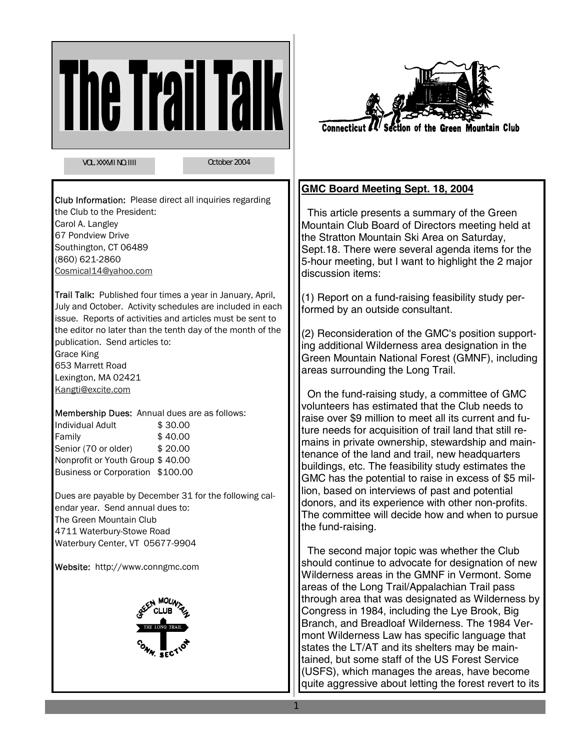# **The Trail Talk**



VOL. XXXVII NO. IIII

October 2004

Club Information: Please direct all inquiries regarding the Club to the President: Carol A. Langley 67 Pondview Drive Southington, CT 06489

(860) 621-2860 Cosmical14@yahoo.com

Trail Talk: Published four times a year in January, April, July and October. Activity schedules are included in each issue. Reports of activities and articles must be sent to the editor no later than the tenth day of the month of the publication. Send articles to:

Grace King 653 Marrett Road Lexington, MA 02421 Kangti@excite.com

# Membership Dues: Annual dues are as follows:

Individual Adult \$ 30.00 Family \$ 40.00 Senior (70 or older) \$20.00 Nonprofit or Youth Group \$ 40.00 Business or Corporation \$100.00

Dues are payable by December 31 for the following calendar year. Send annual dues to: The Green Mountain Club 4711 Waterbury-Stowe Road Waterbury Center, VT 05677-9904

Website: http://www.conngmc.com



# **GMC Board Meeting Sept. 18, 2004**

 This article presents a summary of the Green Mountain Club Board of Directors meeting held at the Stratton Mountain Ski Area on Saturday, Sept.18. There were several agenda items for the 5-hour meeting, but I want to highlight the 2 major discussion items:

(1) Report on a fund-raising feasibility study performed by an outside consultant.

(2) Reconsideration of the GMC's position supporting additional Wilderness area designation in the Green Mountain National Forest (GMNF), including areas surrounding the Long Trail.

 On the fund-raising study, a committee of GMC volunteers has estimated that the Club needs to raise over \$9 million to meet all its current and future needs for acquisition of trail land that still remains in private ownership, stewardship and maintenance of the land and trail, new headquarters buildings, etc. The feasibility study estimates the GMC has the potential to raise in excess of \$5 million, based on interviews of past and potential donors, and its experience with other non-profits. The committee will decide how and when to pursue the fund-raising.

 The second major topic was whether the Club should continue to advocate for designation of new Wilderness areas in the GMNF in Vermont. Some areas of the Long Trail/Appalachian Trail pass through area that was designated as Wilderness by Congress in 1984, including the Lye Brook, Big Branch, and Breadloaf Wilderness. The 1984 Vermont Wilderness Law has specific language that states the LT/AT and its shelters may be maintained, but some staff of the US Forest Service (USFS), which manages the areas, have become quite aggressive about letting the forest revert to its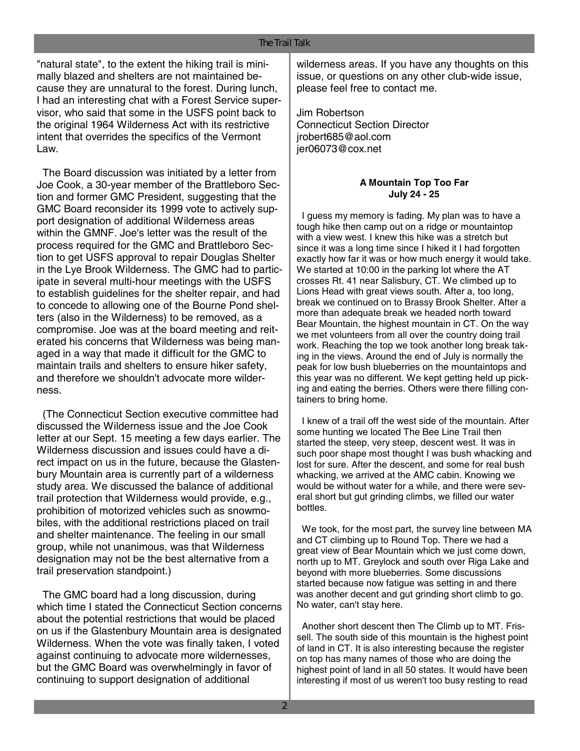#### The Trail Talk

"natural state", to the extent the hiking trail is minimally blazed and shelters are not maintained because they are unnatural to the forest. During lunch, I had an interesting chat with a Forest Service supervisor, who said that some in the USFS point back to the original 1964 Wilderness Act with its restrictive intent that overrides the specifics of the Vermont Law.

 The Board discussion was initiated by a letter from Joe Cook, a 30-year member of the Brattleboro Section and former GMC President, suggesting that the GMC Board reconsider its 1999 vote to actively support designation of additional Wilderness areas within the GMNF. Joe's letter was the result of the process required for the GMC and Brattleboro Section to get USFS approval to repair Douglas Shelter in the Lye Brook Wilderness. The GMC had to participate in several multi-hour meetings with the USFS to establish guidelines for the shelter repair, and had to concede to allowing one of the Bourne Pond shelters (also in the Wilderness) to be removed, as a compromise. Joe was at the board meeting and reiterated his concerns that Wilderness was being managed in a way that made it difficult for the GMC to maintain trails and shelters to ensure hiker safety, and therefore we shouldn't advocate more wilderness.

 (The Connecticut Section executive committee had discussed the Wilderness issue and the Joe Cook letter at our Sept. 15 meeting a few days earlier. The Wilderness discussion and issues could have a direct impact on us in the future, because the Glastenbury Mountain area is currently part of a wilderness study area. We discussed the balance of additional trail protection that Wilderness would provide, e.g., prohibition of motorized vehicles such as snowmobiles, with the additional restrictions placed on trail and shelter maintenance. The feeling in our small group, while not unanimous, was that Wilderness designation may not be the best alternative from a trail preservation standpoint.)

 The GMC board had a long discussion, during which time I stated the Connecticut Section concerns about the potential restrictions that would be placed on us if the Glastenbury Mountain area is designated Wilderness. When the vote was finally taken, I voted against continuing to advocate more wildernesses, but the GMC Board was overwhelmingly in favor of continuing to support designation of additional

wilderness areas. If you have any thoughts on this issue, or questions on any other club-wide issue, please feel free to contact me.

Jim Robertson Connecticut Section Director jrobert685@aol.com jer06073@cox.net

# **A Mountain Top Too Far July 24 - 25**

 I guess my memory is fading. My plan was to have a tough hike then camp out on a ridge or mountaintop with a view west. I knew this hike was a stretch but since it was a long time since I hiked it I had forgotten exactly how far it was or how much energy it would take. We started at 10:00 in the parking lot where the AT crosses Rt. 41 near Salisbury, CT. We climbed up to Lions Head with great views south. After a, too long, break we continued on to Brassy Brook Shelter. After a more than adequate break we headed north toward Bear Mountain, the highest mountain in CT. On the way we met volunteers from all over the country doing trail work. Reaching the top we took another long break taking in the views. Around the end of July is normally the peak for low bush blueberries on the mountaintops and this year was no different. We kept getting held up picking and eating the berries. Others were there filling containers to bring home.

 I knew of a trail off the west side of the mountain. After some hunting we located The Bee Line Trail then started the steep, very steep, descent west. It was in such poor shape most thought I was bush whacking and lost for sure. After the descent, and some for real bush whacking, we arrived at the AMC cabin. Knowing we would be without water for a while, and there were several short but gut grinding climbs, we filled our water bottles.

 We took, for the most part, the survey line between MA and CT climbing up to Round Top. There we had a great view of Bear Mountain which we just come down, north up to MT. Greylock and south over Riga Lake and beyond with more blueberries. Some discussions started because now fatigue was setting in and there was another decent and gut grinding short climb to go. No water, can't stay here.

 Another short descent then The Climb up to MT. Frissell. The south side of this mountain is the highest point of land in CT. It is also interesting because the register on top has many names of those who are doing the highest point of land in all 50 states. It would have been interesting if most of us weren't too busy resting to read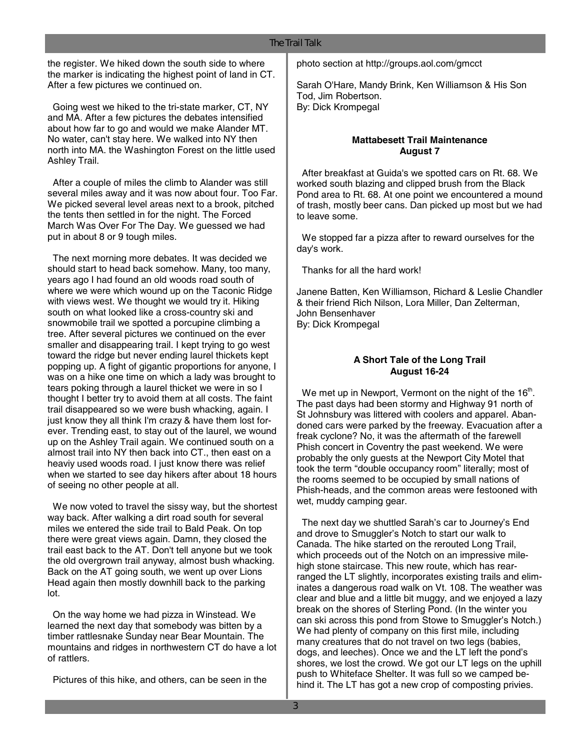the register. We hiked down the south side to where the marker is indicating the highest point of land in CT. After a few pictures we continued on.

 Going west we hiked to the tri-state marker, CT, NY and MA. After a few pictures the debates intensified about how far to go and would we make Alander MT. No water, can't stay here. We walked into NY then north into MA. the Washington Forest on the little used Ashley Trail.

 After a couple of miles the climb to Alander was still several miles away and it was now about four. Too Far. We picked several level areas next to a brook, pitched the tents then settled in for the night. The Forced March Was Over For The Day. We guessed we had put in about 8 or 9 tough miles.

 The next morning more debates. It was decided we should start to head back somehow. Many, too many, years ago I had found an old woods road south of where we were which wound up on the Taconic Ridge with views west. We thought we would try it. Hiking south on what looked like a cross-country ski and snowmobile trail we spotted a porcupine climbing a tree. After several pictures we continued on the ever smaller and disappearing trail. I kept trying to go west toward the ridge but never ending laurel thickets kept popping up. A fight of gigantic proportions for anyone, I was on a hike one time on which a lady was brought to tears poking through a laurel thicket we were in so I thought I better try to avoid them at all costs. The faint trail disappeared so we were bush whacking, again. I just know they all think I'm crazy & have them lost forever. Trending east, to stay out of the laurel, we wound up on the Ashley Trail again. We continued south on a almost trail into NY then back into CT., then east on a heaviy used woods road. I just know there was relief when we started to see day hikers after about 18 hours of seeing no other people at all.

We now voted to travel the sissy way, but the shortest way back. After walking a dirt road south for several miles we entered the side trail to Bald Peak. On top there were great views again. Damn, they closed the trail east back to the AT. Don't tell anyone but we took the old overgrown trail anyway, almost bush whacking. Back on the AT going south, we went up over Lions Head again then mostly downhill back to the parking lot.

 On the way home we had pizza in Winstead. We learned the next day that somebody was bitten by a timber rattlesnake Sunday near Bear Mountain. The mountains and ridges in northwestern CT do have a lot of rattlers.

Pictures of this hike, and others, can be seen in the

photo section at http://groups.aol.com/gmcct

Sarah O'Hare, Mandy Brink, Ken Williamson & His Son Tod, Jim Robertson. By: Dick Krompegal

# **Mattabesett Trail Maintenance August 7**

 After breakfast at Guida's we spotted cars on Rt. 68. We worked south blazing and clipped brush from the Black Pond area to Rt. 68. At one point we encountered a mound of trash, mostly beer cans. Dan picked up most but we had to leave some.

 We stopped far a pizza after to reward ourselves for the day's work.

Thanks for all the hard work!

Janene Batten, Ken Williamson, Richard & Leslie Chandler & their friend Rich Nilson, Lora Miller, Dan Zelterman, John Bensenhaver By: Dick Krompegal

# **A Short Tale of the Long Trail August 16-24**

We met up in Newport, Vermont on the night of the  $16<sup>th</sup>$ . The past days had been stormy and Highway 91 north of St Johnsbury was littered with coolers and apparel. Abandoned cars were parked by the freeway. Evacuation after a freak cyclone? No, it was the aftermath of the farewell Phish concert in Coventry the past weekend. We were probably the only guests at the Newport City Motel that took the term "double occupancy room" literally; most of the rooms seemed to be occupied by small nations of Phish-heads, and the common areas were festooned with wet, muddy camping gear.

 The next day we shuttled Sarah's car to Journey's End and drove to Smuggler's Notch to start our walk to Canada. The hike started on the rerouted Long Trail, which proceeds out of the Notch on an impressive milehigh stone staircase. This new route, which has rearranged the LT slightly, incorporates existing trails and eliminates a dangerous road walk on Vt. 108. The weather was clear and blue and a little bit muggy, and we enjoyed a lazy break on the shores of Sterling Pond. (In the winter you can ski across this pond from Stowe to Smuggler's Notch.) We had plenty of company on this first mile, including many creatures that do not travel on two legs (babies, dogs, and leeches). Once we and the LT left the pond's shores, we lost the crowd. We got our LT legs on the uphill push to Whiteface Shelter. It was full so we camped behind it. The LT has got a new crop of composting privies.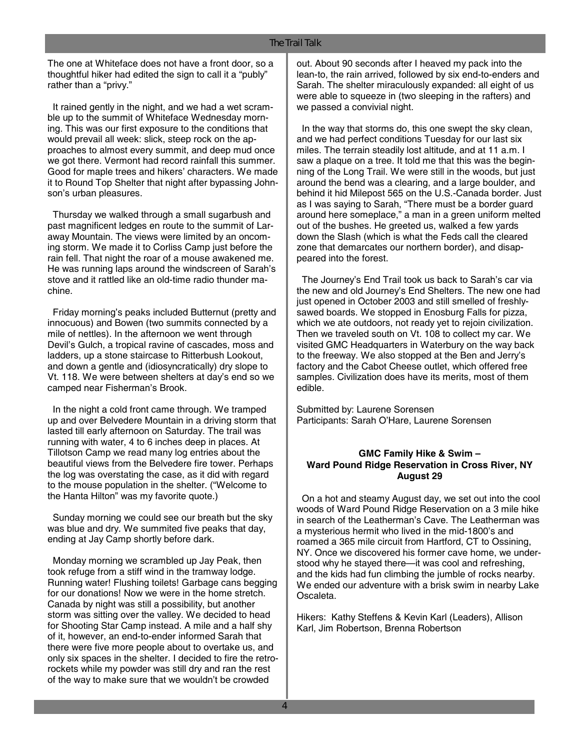The one at Whiteface does not have a front door, so a thoughtful hiker had edited the sign to call it a "publy" rather than a "privy."

 It rained gently in the night, and we had a wet scramble up to the summit of Whiteface Wednesday morning. This was our first exposure to the conditions that would prevail all week: slick, steep rock on the approaches to almost every summit, and deep mud once we got there. Vermont had record rainfall this summer. Good for maple trees and hikers' characters. We made it to Round Top Shelter that night after bypassing Johnson's urban pleasures.

 Thursday we walked through a small sugarbush and past magnificent ledges en route to the summit of Laraway Mountain. The views were limited by an oncoming storm. We made it to Corliss Camp just before the rain fell. That night the roar of a mouse awakened me. He was running laps around the windscreen of Sarah's stove and it rattled like an old-time radio thunder machine.

 Friday morning's peaks included Butternut (pretty and innocuous) and Bowen (two summits connected by a mile of nettles). In the afternoon we went through Devil's Gulch, a tropical ravine of cascades, moss and ladders, up a stone staircase to Ritterbush Lookout, and down a gentle and (idiosyncratically) dry slope to Vt. 118. We were between shelters at day's end so we camped near Fisherman's Brook.

 In the night a cold front came through. We tramped up and over Belvedere Mountain in a driving storm that lasted till early afternoon on Saturday. The trail was running with water, 4 to 6 inches deep in places. At Tillotson Camp we read many log entries about the beautiful views from the Belvedere fire tower. Perhaps the log was overstating the case, as it did with regard to the mouse population in the shelter. ("Welcome to the Hanta Hilton" was my favorite quote.)

 Sunday morning we could see our breath but the sky was blue and dry. We summited five peaks that day, ending at Jay Camp shortly before dark.

 Monday morning we scrambled up Jay Peak, then took refuge from a stiff wind in the tramway lodge. Running water! Flushing toilets! Garbage cans begging for our donations! Now we were in the home stretch. Canada by night was still a possibility, but another storm was sitting over the valley. We decided to head for Shooting Star Camp instead. A mile and a half shy of it, however, an end-to-ender informed Sarah that there were five more people about to overtake us, and only six spaces in the shelter. I decided to fire the retrorockets while my powder was still dry and ran the rest of the way to make sure that we wouldn't be crowded

out. About 90 seconds after I heaved my pack into the lean-to, the rain arrived, followed by six end-to-enders and Sarah. The shelter miraculously expanded: all eight of us were able to squeeze in (two sleeping in the rafters) and we passed a convivial night.

 In the way that storms do, this one swept the sky clean, and we had perfect conditions Tuesday for our last six miles. The terrain steadily lost altitude, and at 11 a.m. I saw a plaque on a tree. It told me that this was the beginning of the Long Trail. We were still in the woods, but just around the bend was a clearing, and a large boulder, and behind it hid Milepost 565 on the U.S.-Canada border. Just as I was saying to Sarah, "There must be a border guard around here someplace," a man in a green uniform melted out of the bushes. He greeted us, walked a few yards down the Slash (which is what the Feds call the cleared zone that demarcates our northern border), and disappeared into the forest.

 The Journey's End Trail took us back to Sarah's car via the new and old Journey's End Shelters. The new one had just opened in October 2003 and still smelled of freshlysawed boards. We stopped in Enosburg Falls for pizza, which we ate outdoors, not ready yet to rejoin civilization. Then we traveled south on Vt. 108 to collect my car. We visited GMC Headquarters in Waterbury on the way back to the freeway. We also stopped at the Ben and Jerry's factory and the Cabot Cheese outlet, which offered free samples. Civilization does have its merits, most of them edible.

Submitted by: Laurene Sorensen Participants: Sarah O'Hare, Laurene Sorensen

# **GMC Family Hike & Swim – Ward Pound Ridge Reservation in Cross River, NY August 29**

 On a hot and steamy August day, we set out into the cool woods of Ward Pound Ridge Reservation on a 3 mile hike in search of the Leatherman's Cave. The Leatherman was a mysterious hermit who lived in the mid-1800's and roamed a 365 mile circuit from Hartford, CT to Ossining, NY. Once we discovered his former cave home, we understood why he stayed there—it was cool and refreshing, and the kids had fun climbing the jumble of rocks nearby. We ended our adventure with a brisk swim in nearby Lake Oscaleta.

Hikers: Kathy Steffens & Kevin Karl (Leaders), Allison Karl, Jim Robertson, Brenna Robertson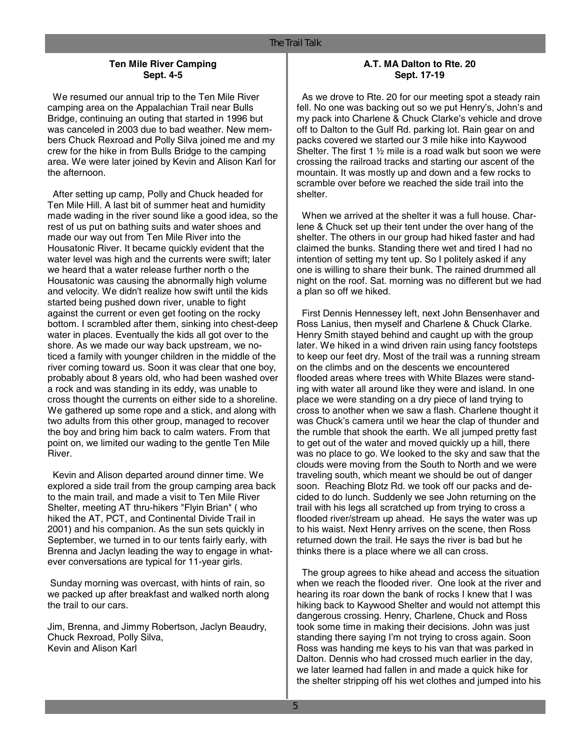#### **Ten Mile River Camping Sept. 4-5**

 We resumed our annual trip to the Ten Mile River camping area on the Appalachian Trail near Bulls Bridge, continuing an outing that started in 1996 but was canceled in 2003 due to bad weather. New members Chuck Rexroad and Polly Silva joined me and my crew for the hike in from Bulls Bridge to the camping area. We were later joined by Kevin and Alison Karl for the afternoon.

 After setting up camp, Polly and Chuck headed for Ten Mile Hill. A last bit of summer heat and humidity made wading in the river sound like a good idea, so the rest of us put on bathing suits and water shoes and made our way out from Ten Mile River into the Housatonic River. It became quickly evident that the water level was high and the currents were swift; later we heard that a water release further north o the Housatonic was causing the abnormally high volume and velocity. We didn't realize how swift until the kids started being pushed down river, unable to fight against the current or even get footing on the rocky bottom. I scrambled after them, sinking into chest-deep water in places. Eventually the kids all got over to the shore. As we made our way back upstream, we noticed a family with younger children in the middle of the river coming toward us. Soon it was clear that one boy, probably about 8 years old, who had been washed over a rock and was standing in its eddy, was unable to cross thought the currents on either side to a shoreline. We gathered up some rope and a stick, and along with two adults from this other group, managed to recover the boy and bring him back to calm waters. From that point on, we limited our wading to the gentle Ten Mile River.

 Kevin and Alison departed around dinner time. We explored a side trail from the group camping area back to the main trail, and made a visit to Ten Mile River Shelter, meeting AT thru-hikers "Flyin Brian" ( who hiked the AT, PCT, and Continental Divide Trail in 2001) and his companion. As the sun sets quickly in September, we turned in to our tents fairly early, with Brenna and Jaclyn leading the way to engage in whatever conversations are typical for 11-year girls.

 Sunday morning was overcast, with hints of rain, so we packed up after breakfast and walked north along the trail to our cars.

Jim, Brenna, and Jimmy Robertson, Jaclyn Beaudry, Chuck Rexroad, Polly Silva, Kevin and Alison Karl

# **A.T. MA Dalton to Rte. 20 Sept. 17-19**

 As we drove to Rte. 20 for our meeting spot a steady rain fell. No one was backing out so we put Henry's, John's and my pack into Charlene & Chuck Clarke's vehicle and drove off to Dalton to the Gulf Rd. parking lot. Rain gear on and packs covered we started our 3 mile hike into Kaywood Shelter. The first 1  $\frac{1}{2}$  mile is a road walk but soon we were crossing the railroad tracks and starting our ascent of the mountain. It was mostly up and down and a few rocks to scramble over before we reached the side trail into the shelter.

 When we arrived at the shelter it was a full house. Charlene & Chuck set up their tent under the over hang of the shelter. The others in our group had hiked faster and had claimed the bunks. Standing there wet and tired I had no intention of setting my tent up. So I politely asked if any one is willing to share their bunk. The rained drummed all night on the roof. Sat. morning was no different but we had a plan so off we hiked.

 First Dennis Hennessey left, next John Bensenhaver and Ross Lanius, then myself and Charlene & Chuck Clarke. Henry Smith stayed behind and caught up with the group later. We hiked in a wind driven rain using fancy footsteps to keep our feet dry. Most of the trail was a running stream on the climbs and on the descents we encountered flooded areas where trees with White Blazes were standing with water all around like they were and island. In one place we were standing on a dry piece of land trying to cross to another when we saw a flash. Charlene thought it was Chuck's camera until we hear the clap of thunder and the rumble that shook the earth. We all jumped pretty fast to get out of the water and moved quickly up a hill, there was no place to go. We looked to the sky and saw that the clouds were moving from the South to North and we were traveling south, which meant we should be out of danger soon. Reaching Blotz Rd. we took off our packs and decided to do lunch. Suddenly we see John returning on the trail with his legs all scratched up from trying to cross a flooded river/stream up ahead. He says the water was up to his waist. Next Henry arrives on the scene, then Ross returned down the trail. He says the river is bad but he thinks there is a place where we all can cross.

 The group agrees to hike ahead and access the situation when we reach the flooded river. One look at the river and hearing its roar down the bank of rocks I knew that I was hiking back to Kaywood Shelter and would not attempt this dangerous crossing. Henry, Charlene, Chuck and Ross took some time in making their decisions. John was just standing there saying I'm not trying to cross again. Soon Ross was handing me keys to his van that was parked in Dalton. Dennis who had crossed much earlier in the day, we later learned had fallen in and made a quick hike for the shelter stripping off his wet clothes and jumped into his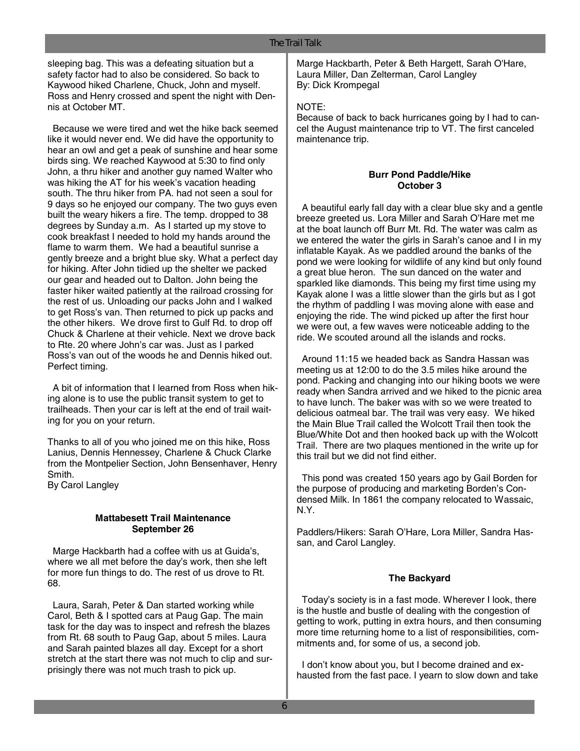sleeping bag. This was a defeating situation but a safety factor had to also be considered. So back to Kaywood hiked Charlene, Chuck, John and myself. Ross and Henry crossed and spent the night with Dennis at October MT.

 Because we were tired and wet the hike back seemed like it would never end. We did have the opportunity to hear an owl and get a peak of sunshine and hear some birds sing. We reached Kaywood at 5:30 to find only John, a thru hiker and another guy named Walter who was hiking the AT for his week's vacation heading south. The thru hiker from PA. had not seen a soul for 9 days so he enjoyed our company. The two guys even built the weary hikers a fire. The temp. dropped to 38 degrees by Sunday a.m. As I started up my stove to cook breakfast I needed to hold my hands around the flame to warm them. We had a beautiful sunrise a gently breeze and a bright blue sky. What a perfect day for hiking. After John tidied up the shelter we packed our gear and headed out to Dalton. John being the faster hiker waited patiently at the railroad crossing for the rest of us. Unloading our packs John and I walked to get Ross's van. Then returned to pick up packs and the other hikers. We drove first to Gulf Rd. to drop off Chuck & Charlene at their vehicle. Next we drove back to Rte. 20 where John's car was. Just as I parked Ross's van out of the woods he and Dennis hiked out. Perfect timing.

 A bit of information that I learned from Ross when hiking alone is to use the public transit system to get to trailheads. Then your car is left at the end of trail waiting for you on your return.

Thanks to all of you who joined me on this hike, Ross Lanius, Dennis Hennessey, Charlene & Chuck Clarke from the Montpelier Section, John Bensenhaver, Henry Smith.

By Carol Langley

#### **Mattabesett Trail Maintenance September 26**

 Marge Hackbarth had a coffee with us at Guida's, where we all met before the day's work, then she left for more fun things to do. The rest of us drove to Rt. 68.

 Laura, Sarah, Peter & Dan started working while Carol, Beth & I spotted cars at Paug Gap. The main task for the day was to inspect and refresh the blazes from Rt. 68 south to Paug Gap, about 5 miles. Laura and Sarah painted blazes all day. Except for a short stretch at the start there was not much to clip and surprisingly there was not much trash to pick up.

Marge Hackbarth, Peter & Beth Hargett, Sarah O'Hare, Laura Miller, Dan Zelterman, Carol Langley By: Dick Krompegal

#### NOTE:

Because of back to back hurricanes going by I had to cancel the August maintenance trip to VT. The first canceled maintenance trip.

# **Burr Pond Paddle/Hike October 3**

 A beautiful early fall day with a clear blue sky and a gentle breeze greeted us. Lora Miller and Sarah O'Hare met me at the boat launch off Burr Mt. Rd. The water was calm as we entered the water the girls in Sarah's canoe and I in my inflatable Kayak. As we paddled around the banks of the pond we were looking for wildlife of any kind but only found a great blue heron. The sun danced on the water and sparkled like diamonds. This being my first time using my Kayak alone I was a little slower than the girls but as I got the rhythm of paddling I was moving alone with ease and enjoying the ride. The wind picked up after the first hour we were out, a few waves were noticeable adding to the ride. We scouted around all the islands and rocks.

 Around 11:15 we headed back as Sandra Hassan was meeting us at 12:00 to do the 3.5 miles hike around the pond. Packing and changing into our hiking boots we were ready when Sandra arrived and we hiked to the picnic area to have lunch. The baker was with so we were treated to delicious oatmeal bar. The trail was very easy. We hiked the Main Blue Trail called the Wolcott Trail then took the Blue/White Dot and then hooked back up with the Wolcott Trail. There are two plaques mentioned in the write up for this trail but we did not find either.

 This pond was created 150 years ago by Gail Borden for the purpose of producing and marketing Borden's Condensed Milk. In 1861 the company relocated to Wassaic, N.Y.

Paddlers/Hikers: Sarah O'Hare, Lora Miller, Sandra Hassan, and Carol Langley.

# **The Backyard**

 Today's society is in a fast mode. Wherever I look, there is the hustle and bustle of dealing with the congestion of getting to work, putting in extra hours, and then consuming more time returning home to a list of responsibilities, commitments and, for some of us, a second job.

 I don't know about you, but I become drained and exhausted from the fast pace. I yearn to slow down and take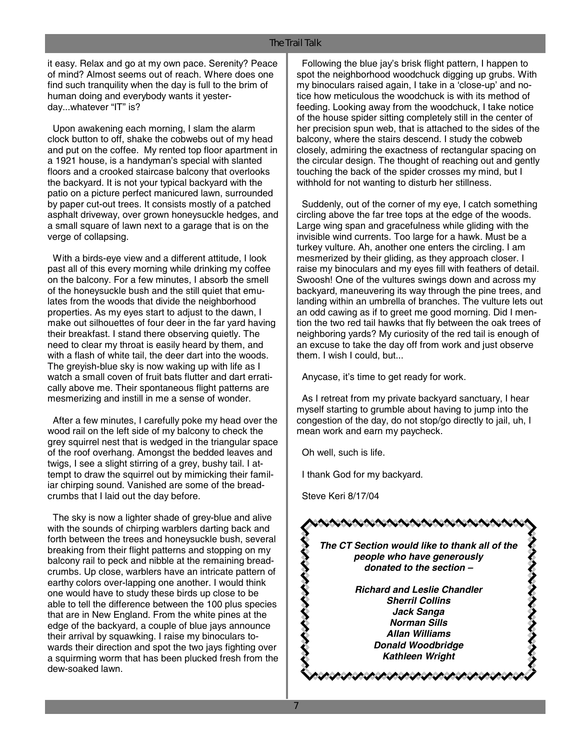it easy. Relax and go at my own pace. Serenity? Peace of mind? Almost seems out of reach. Where does one find such tranquility when the day is full to the brim of human doing and everybody wants it yesterday...whatever "IT" is?

 Upon awakening each morning, I slam the alarm clock button to off, shake the cobwebs out of my head and put on the coffee. My rented top floor apartment in a 1921 house, is a handyman's special with slanted floors and a crooked staircase balcony that overlooks the backyard. It is not your typical backyard with the patio on a picture perfect manicured lawn, surrounded by paper cut-out trees. It consists mostly of a patched asphalt driveway, over grown honeysuckle hedges, and a small square of lawn next to a garage that is on the verge of collapsing.

 With a birds-eye view and a different attitude, I look past all of this every morning while drinking my coffee on the balcony. For a few minutes, I absorb the smell of the honeysuckle bush and the still quiet that emulates from the woods that divide the neighborhood properties. As my eyes start to adjust to the dawn, I make out silhouettes of four deer in the far yard having their breakfast. I stand there observing quietly. The need to clear my throat is easily heard by them, and with a flash of white tail, the deer dart into the woods. The greyish-blue sky is now waking up with life as I watch a small coven of fruit bats flutter and dart erratically above me. Their spontaneous flight patterns are mesmerizing and instill in me a sense of wonder.

 After a few minutes, I carefully poke my head over the wood rail on the left side of my balcony to check the grey squirrel nest that is wedged in the triangular space of the roof overhang. Amongst the bedded leaves and twigs, I see a slight stirring of a grey, bushy tail. I attempt to draw the squirrel out by mimicking their familiar chirping sound. Vanished are some of the breadcrumbs that I laid out the day before.

 The sky is now a lighter shade of grey-blue and alive with the sounds of chirping warblers darting back and forth between the trees and honeysuckle bush, several breaking from their flight patterns and stopping on my balcony rail to peck and nibble at the remaining breadcrumbs. Up close, warblers have an intricate pattern of earthy colors over-lapping one another. I would think one would have to study these birds up close to be able to tell the difference between the 100 plus species that are in New England. From the white pines at the edge of the backyard, a couple of blue jays announce their arrival by squawking. I raise my binoculars towards their direction and spot the two jays fighting over a squirming worm that has been plucked fresh from the dew-soaked lawn.

 Following the blue jay's brisk flight pattern, I happen to spot the neighborhood woodchuck digging up grubs. With my binoculars raised again, I take in a 'close-up' and notice how meticulous the woodchuck is with its method of feeding. Looking away from the woodchuck, I take notice of the house spider sitting completely still in the center of her precision spun web, that is attached to the sides of the balcony, where the stairs descend. I study the cobweb closely, admiring the exactness of rectangular spacing on the circular design. The thought of reaching out and gently touching the back of the spider crosses my mind, but I withhold for not wanting to disturb her stillness.

 Suddenly, out of the corner of my eye, I catch something circling above the far tree tops at the edge of the woods. Large wing span and gracefulness while gliding with the invisible wind currents. Too large for a hawk. Must be a turkey vulture. Ah, another one enters the circling. I am mesmerized by their gliding, as they approach closer. I raise my binoculars and my eyes fill with feathers of detail. Swoosh! One of the vultures swings down and across my backyard, maneuvering its way through the pine trees, and landing within an umbrella of branches. The vulture lets out an odd cawing as if to greet me good morning. Did I mention the two red tail hawks that fly between the oak trees of neighboring yards? My curiosity of the red tail is enough of an excuse to take the day off from work and just observe them. I wish I could, but...

Anycase, it's time to get ready for work.

 As I retreat from my private backyard sanctuary, I hear myself starting to grumble about having to jump into the congestion of the day, do not stop/go directly to jail, uh, I mean work and earn my paycheck.

Oh well, such is life.

I thank God for my backyard.

Steve Keri 8/17/04